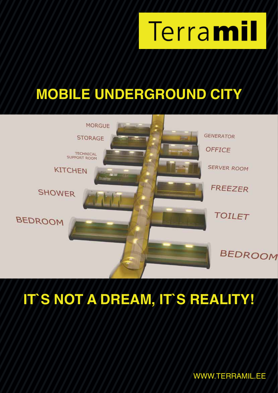

# **MOBILE UNDERGROUND CITY**



# **IT`S NOT A DREAM, IT`S REALITY!**

WWW.TERRAMIL.EE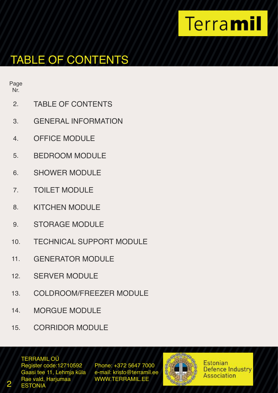# TABLE OF CONTENTS

Page Nr.

- 2. TABLE OF CONTENTS
- 3. GENERAL INFORMATION
- 4. OFFICE MODULE
- 5. BEDROOM MODULE
- 6. SHOWER MODULE
- 7. TOILET MODULE
- 8. KITCHEN MODULE
- 9. STORAGE MODULE
- 10. TECHNICAL SUPPORT MODULE
- 11. GENERATOR MODULE
- 12. SERVER MODULE
- 13. COLDROOM/FREEZER MODULE
- 14. MORGUE MODULE
- 15. CORRIDOR MODULE

TERRAMIL OÜ

Register code:12710592 Phone: +372 5647 7000<br>Gaasi tee 11, Lehmia küla e-mail: kristo@terramil.ee Gaasi tee 11, Lehmja küla Rae vald, Harjumaa WWW.TERRAMIL.EE 2 ESTONIA

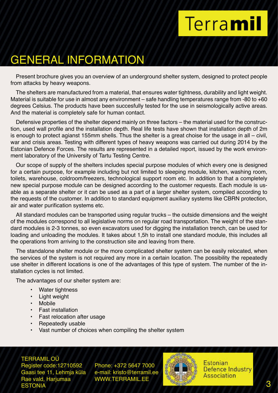# GENERAL INFORMATION

Present brochure gives you an overview of an underground shelter system, designed to protect people from attacks by heavy weapons.

The shelters are manufactured from a material, that ensures water tightness, durability and light weight. Material is suitable for use in almost any environment – safe handling temperatures range from -80 to +60 degrees Celsius. The products have been succesfully tested for the use in seismologically active areas. And the material is completely safe for human contact.

Defensive properties of the shelter depend mainly on three factors – the material used for the construction, used wall profile and the installation depth. Real life tests have shown that installation depth of 2m is enough to protect agianst 155mm shells. Thus the shelter is a great choise for the usage in all – civil, war and crisis areas. Testing with different types of heavy weapons was carried out during 2014 by the Estonian Defence Forces. The results are represented in a detailed report, issued by the work environment laboratory of the University of Tartu Testing Centre.

Our scope of supply of the shelters includes special purpose modules of which every one is designed for a certain purpose, for example including but not limited to sleeping module, kitchen, washing room, toilets, warehouse, coldroom/freezers, technological support room etc. In addition to that a completely new special purpose module can be designed according to the customer requests. Each module is usable as a separate shelter or it can be used as a part of a larger shelter system, compiled according to the requests of the customer. In addition to standard equipment auxiliary systems like CBRN protection, air and water purification systems etc.

All standard modules can be transported using regular trucks – the outside dimensions and the weight of the modules correspond to all legislative norms on regular road transportation. The weight of the standard modules is 2-3 tonnes, so even excavators used for digging the installation trench, can be used for loading and unloading the modules. It takes about 1,5h to install one standard module, this includes all the operations from arriving to the construction site and leaving from there.

The standalone shelter module or the more complicated shelter system can be easily relocated, when the services of the system is not required any more in a certain location. The possibility the repeatedly use shelter in different locations is one of the advantages of this type of system. The number of the installation cycles is not limited.

The advantages of our shelter system are:

- Water tightness
- Light weight
- Mobile
- Fast installation
- Fast relocation after usage
- Repeatedly usable
- Vast number of choices when compiling the shelter system

TERRAMIL OÜ Gaasi tee 11, Lehmja küla Rae vald, Harjumaa WWW.TERRAMIL.EE ESTONIA 3

Register code:12710592 Phone: +372 5647 7000<br>Gaasi tee 11. Lehmia küla e-mail: kristo@terramil.ee

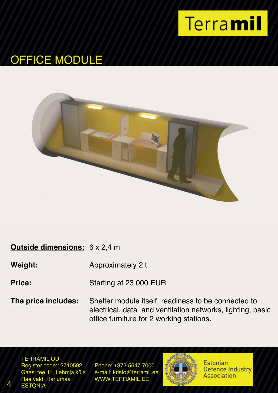

# OFFICE MODULE



#### **Outside dimensions:** 6 x 2,4 m

**Weight:** Approximately 2 t

**Price:** Starting at 23 000 EUR

**The price includes:** Shelter module itself, readiness to be connected to electrical, data and ventilation networks, lighting, basic office furniture for 2 working stations.

TERRAMIL OÜ Register code:12710592 Phone: +372 5647 7000<br>Gaasi tee 11, Lehmia küla e-mail: kristo@terramil.ee Gaasi tee 11, Lehmja küla<br>Rae vald, Harjumaa **ESTONIA** 

WWW.TERRAMIL.EE

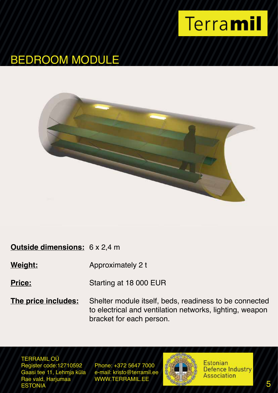

### BEDROOM MODULE



### **Outside dimensions:** 6 x 2,4 m

**Weight:** Approximately 2 t

**Price:** Starting at 18 000 EUR

**The price includes:** Shelter module itself, beds, readiness to be connected to electrical and ventilation networks, lighting, weapon bracket for each person.

TERRAMIL OÜ Register code:12710592 Phone: +372 5647 7000<br>Gaasi tee 11, Lehmia küla e-mail: kristo@terramil.ee Gaasi tee 11, Lehmja küla<br>Rae vald, Harjumaa Rae vald, Harjumaa WWW.TERRAMIL.EE<br>ESTONIA ESTONIA **1999 - STONIA 1999, STONIA 1999, STONIA** 1999, STONIA 1999, STONIA 1999, STONIA 1999, STONIA 1999, STO

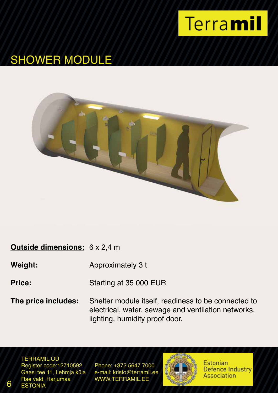

# SHOWER MODULE



#### **Outside dimensions:** 6 x 2,4 m

**Weight:** Approximately 3 t

**Price:** Starting at 35 000 EUR

**The price includes:** Shelter module itself, readiness to be connected to electrical, water, sewage and ventilation networks, lighting, humidity proof door.

TERRAMIL OÜ Register code:12710592 Phone: +372 5647 7000<br>Gaasi tee 11, Lehmia küla e-mail: kristo@terramil.ee Gaasi tee 11, Lehmja küla<br>Rae vald, Harjumaa 6 ESTONIA

WWW.TERRAMIL.EE

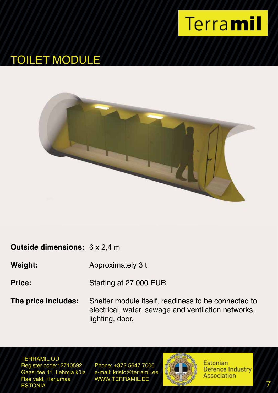

# TOILET MODULE



### **Outside dimensions:** 6 x 2,4 m

**Weight:** Approximately 3 t

**Price:** Starting at 27 000 EUR

**The price includes:** Shelter module itself, readiness to be connected to electrical, water, sewage and ventilation networks, lighting, door.

TERRAMIL OÜ Register code:12710592 Phone: +372 5647 7000<br>Gaasi tee 11, Lehmia küla e-mail: kristo@terramil.ee Gaasi tee 11, Lehmja küla<br>Rae vald, Harjumaa Rae vald, Harjumaa WWW.TERRAMIL.EE<br>ESTONIA ESTONIA **7** T

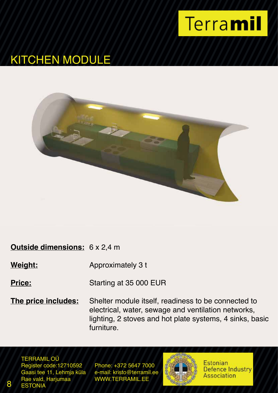

# KITCHEN MODULE



#### **Outside dimensions:** 6 x 2,4 m

**Weight:** Approximately 3 t

**Price:** Starting at 35 000 EUR

**The price includes:** Shelter module itself, readiness to be connected to electrical, water, sewage and ventilation networks, lighting, 2 stoves and hot plate systems, 4 sinks, basic furniture.

TERRAMIL OÜ Register code:12710592 Phone: +372 5647 7000<br>Gaasi tee 11, Lehmja küla e-mail: kristo@terramil.ee Gaasi tee 11, Lehmja küla<br>Rae vald, Harjumaa 8 ESTONIA

WWW.TERRAMIL.EE

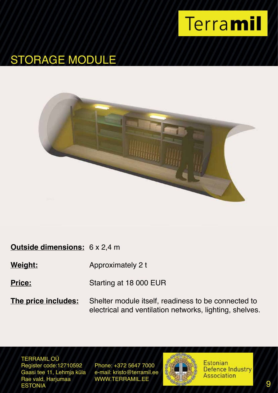

### STORAGE MODULE



### **Outside dimensions:** 6 x 2,4 m

**Weight:** Approximately 2 t

**Price:** Starting at 18 000 EUR

**The price includes:** Shelter module itself, readiness to be connected to electrical and ventilation networks, lighting, shelves.

TERRAMIL OÜ Register code:12710592 Phone: +372 5647 7000<br>Gaasi tee 11, Lehmia küla e-mail: kristo@terramil.ee Gaasi tee 11, Lehmja küla<br>Rae vald, Harjumaa Rae vald, Harjumaa WWW.TERRAMIL.EE<br>ESTONIA ESTONIA PRESERVATIVO DE LA CARACTERIZACIÓN EN EL CARACTERIZADO DE LA CARACTERIZA DE LA CARACTERIZA DE LA CARACTERIZA

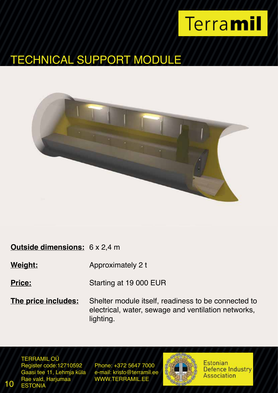# TECHNICAL SUPPORT MODULE



### **Outside dimensions:** 6 x 2,4 m

**Weight:** Approximately 2 t

**Price:** Starting at 19 000 EUR

**The price includes:** Shelter module itself, readiness to be connected to electrical, water, sewage and ventilation networks, lighting.

TERRAMIL OÜ Register code:12710592 Phone: +372 5647 7000<br>Gaasi tee 11, Lehmia küla e-mail: kristo@terramil.ee Gaasi tee 11, Lehmja küla<br>Rae vald, Harjumaa 10 ESTONIA

WWW.TERRAMIL.EE

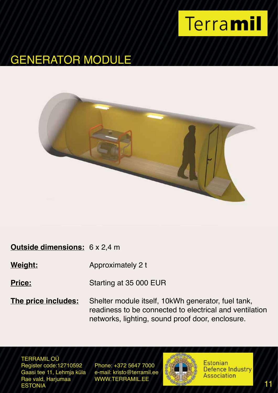

### GENERATOR MODULE



### **Outside dimensions:** 6 x 2,4 m

**Weight:** Approximately 2 t

**Price:** Starting at 35 000 EUR

**The price includes:** Shelter module itself, 10kWh generator, fuel tank, readiness to be connected to electrical and ventilation networks, lighting, sound proof door, enclosure.

TERRAMIL OÜ Register code:12710592 Phone: +372 5647 7000<br>Gaasi tee 11, Lehmia küla e-mail: kristo@terramil.ee Gaasi tee 11, Lehmja küla<br>Rae vald, Harjumaa Rae vald, Harjumaa WWW.TERRAMIL.EE<br>ESTONIA ESTONIA 11

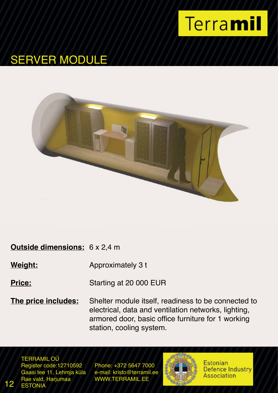

# SERVER MODULE



### **Outside dimensions:** 6 x 2,4 m

**Weight:** Approximately 3 t

**Price:** Starting at 20 000 EUR

**The price includes:** Shelter module itself, readiness to be connected to electrical, data and ventilation networks, lighting, armored door, basic office furniture for 1 working station, cooling system.

TERRAMIL OÜ Register code:12710592 Phone: +372 5647 7000<br>Gaasi tee 11, Lehmja küla e-mail: kristo@terramil.ee Gaasi tee 11, Lehmja küla<br>Rae vald, Harjumaa 12 ESTONIA

WWW.TERRAMIL.EE

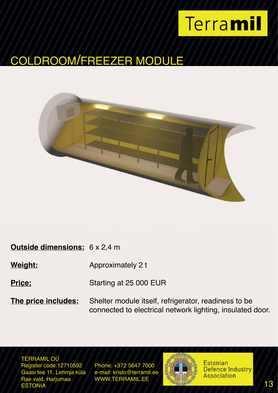# COLDROOM/FREEZER MODULE



### **Outside dimensions:** 6 x 2,4 m

**Weight:** Approximately 2 t

**Price:** Starting at 25 000 EUR

**The price includes:** Shelter module itself, refrigerator, readiness to be connected to electrical network lighting, insulated door.

TERRAMIL OÜ Register code:12710592 Phone: +372 5647 7000<br>Gaasi tee 11, Lehmia küla e-mail: kristo@terramil.ee Gaasi tee 11, Lehmja küla<br>Rae vald, Harjumaa Rae vald, Harjumaa WWW.TERRAMIL.EE<br>ESTONIA ESTONIA 13

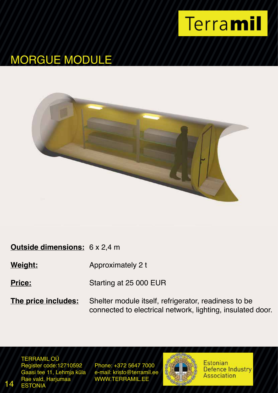

# MORGUE MODULE



### **Outside dimensions:** 6 x 2,4 m

**Weight:** Approximately 2 t

**Price:** Starting at 25 000 EUR

**The price includes:** Shelter module itself, refrigerator, readiness to be connected to electrical network, lighting, insulated door.

TERRAMIL OÜ Register code:12710592 Phone: +372 5647 7000<br>Gaasi tee 11, Lehmia küla e-mail: kristo@terramil.ee Gaasi tee 11, Lehmja küla<br>Rae vald, Harjumaa 14 ESTONIA

WWW.TERRAMIL.EE

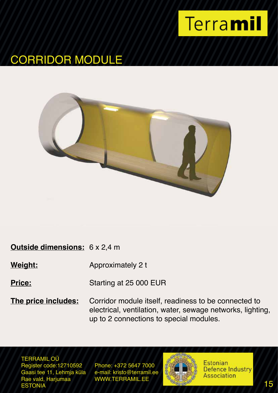

### CORRIDOR MODULE



#### **Outside dimensions:** 6 x 2,4 m

**Weight:** Approximately 2 t

**Price:** Starting at 25 000 EUR

**The price includes:** Corridor module itself, readiness to be connected to electrical, ventilation, water, sewage networks, lighting, up to 2 connections to special modules.

TERRAMIL OÜ Register code:12710592 Phone: +372 5647 7000<br>Gaasi tee 11, Lehmia küla e-mail: kristo@terramil.ee Gaasi tee 11, Lehmja küla<br>Rae vald, Harjumaa Rae vald, Harjumaa WWW.TERRAMIL.EE<br>ESTONIA ESTONIA 15